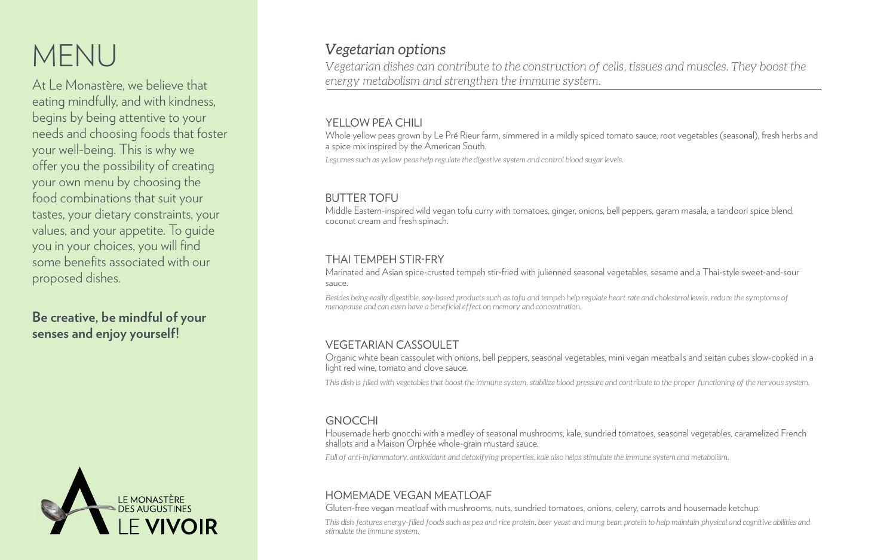# MENU

At Le Monastère, we believe that eating mindfully, and with kindness, begins by being attentive to your needs and choosing foods that foster your well-being. This is why we offer you the possibility of creating your own menu by choosing the food combinations that suit your tastes, your dietary constraints, your values, and your appetite. To guide you in your choices, you will find some benefits associated with our proposed dishes.

# **Be creative, be mindful of your senses and enjoy yourself!**



# *Vegetarian options*

*Vegetarian dishes can contribute to the construction of cells, tissues and muscles. They boost the energy metabolism and strengthen the immune system.*

### YELLOW PEA CHILL

# HOMEMADE VEGAN MEATLOAF

Gluten-free vegan meatloaf with mushrooms, nuts, sundried tomatoes, onions, celery, carrots and housemade ketchup. *This dish features energy-filled foods such as pea and rice protein, beer yeast and mung bean protein to help maintain physical and cognitive abilities and* 

*stimulate the immune system.*

# GNOCCHI

Housemade herb gnocchi with a medley of seasonal mushrooms, kale, sundried tomatoes, seasonal vegetables, caramelized French shallots and a Maison Orphée whole-grain mustard sauce. *Full of anti-inflammatory, antioxidant and detoxifying properties, kale also helps stimulate the immune system and metabolism.*

# VEGETARIAN CASSOULET

Organic white bean cassoulet with onions, bell peppers, seasonal vegetables, mini vegan meatballs and seitan cubes slow-cooked in a light red wine, tomato and clove sauce.

*This dish is filled with vegetables that boost the immune system, stabilize blood pressure and contribute to the proper functioning of the nervous system.* 

# BUTTER TOFU

Middle Eastern-inspired wild vegan tofu curry with tomatoes, ginger, onions, bell peppers, garam masala, a tandoori spice blend, coconut cream and fresh spinach.

*Besides being easily digestible, soy-based products such as tofu and tempeh help regulate heart rate and cholesterol levels, reduce the symptoms of menopause and can even have a beneficial effect on memory and concentration.*

# THAI TEMPEH STIR-FRY

Marinated and Asian spice-crusted tempeh stir-fried with julienned seasonal vegetables, sesame and a Thai-style sweet-and-sour sauce.

Whole yellow peas grown by Le Pré Rieur farm, simmered in a mildly spiced tomato sauce, root vegetables (seasonal), fresh herbs and a spice mix inspired by the American South.

*Legumes such as yellow peas help regulate the digestive system and control blood sugar levels.*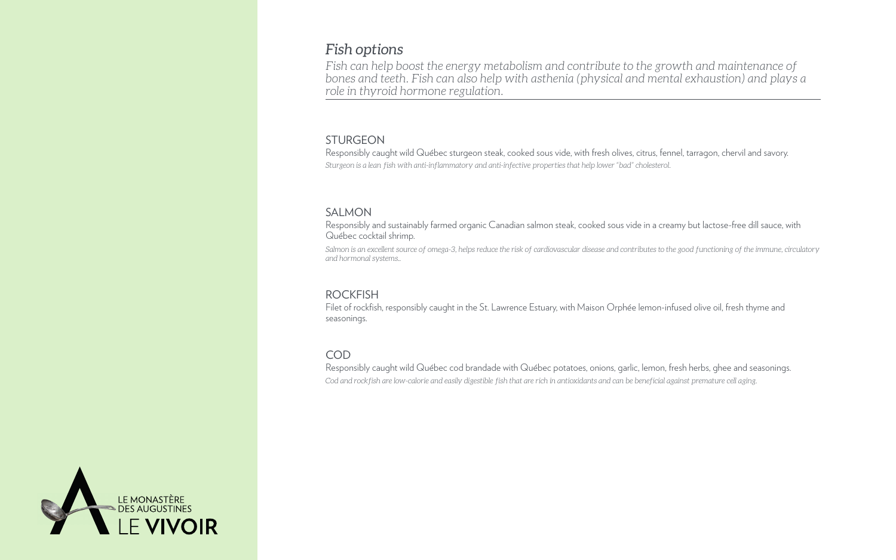# *Fish options*

*Fish can help boost the energy metabolism and contribute to the growth and maintenance of bones and teeth. Fish can also help with asthenia (physical and mental exhaustion) and plays a role in thyroid hormone regulation.*

# COD

Filet of rockfish, responsibly caught in the St. Lawrence Estuary, with Maison Orphée lemon-infused olive oil, fresh thyme and seasonings.

Responsibly caught wild Québec cod brandade with Québec potatoes, onions, garlic, lemon, fresh herbs, ghee and seasonings. *Cod and rockfish are low-calorie and easily digestible fish that are rich in antioxidants and can be beneficial against premature cell aging.*



# ROCKFISH

*Salmon is an excellent source of omega-3, helps reduce the risk of cardiovascular disease and contributes to the good functioning of the immune, circulatory and hormonal systems..*

### SALMON

Responsibly and sustainably farmed organic Canadian salmon steak, cooked sous vide in a creamy but lactose-free dill sauce, with Québec cocktail shrimp.

### STURGEON

Responsibly caught wild Québec sturgeon steak, cooked sous vide, with fresh olives, citrus, fennel, tarragon, chervil and savory. *Sturgeon is a lean fish with anti-inflammatory and anti-infective properties that help lower "bad" cholesterol.*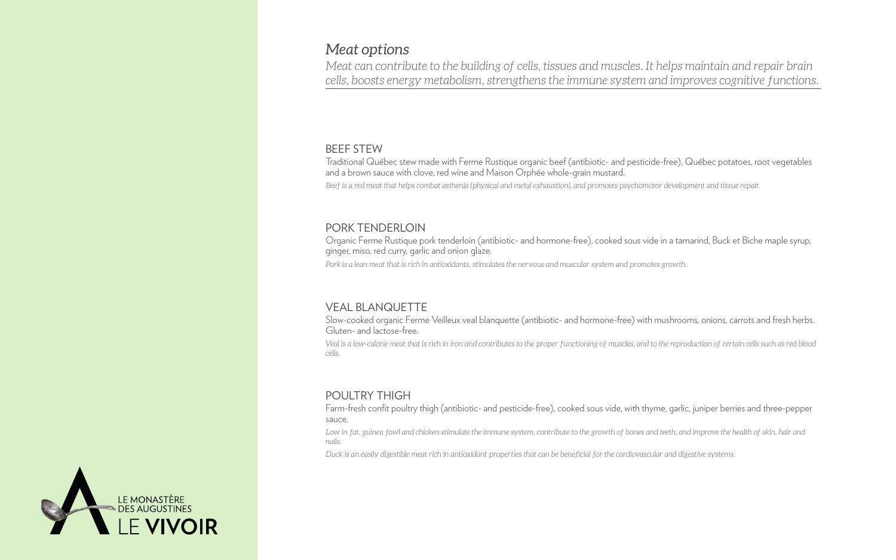# *Meat options*

*Meat can contribute to the building of cells, tissues and muscles. It helps maintain and repair brain cells, boosts energy metabolism, strengthens the immune system and improves cognitive functions.*

# POULTRY THIGH

Farm-fresh confit poultry thigh (antibiotic- and pesticide-free), cooked sous vide, with thyme, garlic, juniper berries and three-pepper sauce. Low in fat, guinea fowl and chicken stimulate the immune system, contribute to the growth of bones and teeth, and improve the health of skin, hair and *nails. Duck is an easily digestible meat rich in antioxidant properties that can be beneficial for the cardiovascular and digestive systems.*



# PORK TENDERLOIN

*Pork is a lean meat that is rich in antioxidants, stimulates the nervous and muscular system and promotes growth.* Organic Ferme Rustique pork tenderloin (antibiotic- and hormone-free), cooked sous vide in a tamarind, Buck et Biche maple syrup,

ginger, miso, red curry, garlic and onion glaze.

#### BEEF STEW

Traditional Québec stew made with Ferme Rustique organic beef (antibiotic- and pesticide-free), Québec potatoes, root vegetables and a brown sauce with clove, red wine and Maison Orphée whole-grain mustard. *Beef is a red meat that helps combat asthenia (physical and metal exhaustion), and promotes psychomotor development and tissue repair.*

# VEAL BLANQUETTE

Slow-cooked organic Ferme Veilleux veal blanquette (antibiotic- and hormone-free) with mushrooms, onions, carrots and fresh herbs. Gluten- and lactose-free. *Veal is a low-calorie meat that is rich in iron and contributes to the proper functioning of muscles, and to the reproduction of certain cells such as red blood* 

*cells.*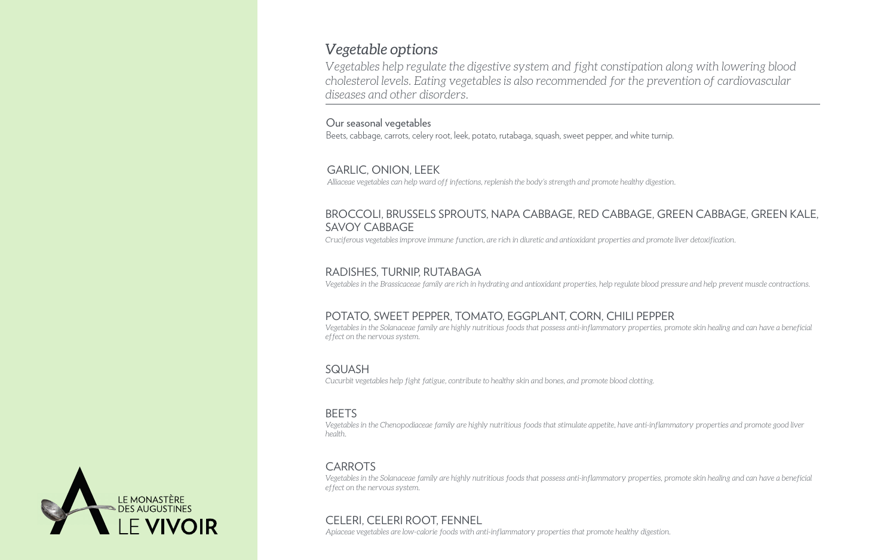# *Vegetable options*

*Vegetables help regulate the digestive system and fight constipation along with lowering blood cholesterol levels. Eating vegetables is also recommended for the prevention of cardiovascular diseases and other disorders.*

*Alliaceae vegetables can help ward off infections, replenish the body's strength and promote healthy digestion.*

### GARLIC, ONION, LEEK

#### Our seasonal vegetables

Beets, cabbage, carrots, celery root, leek, potato, rutabaga, squash, sweet pepper, and white turnip.

*Cruciferous vegetables improve immune function, are rich in diuretic and antioxidant properties and promote liver detoxification.*

### BROCCOLI, BRUSSELS SPROUTS, NAPA CABBAGE, RED CABBAGE, GREEN CABBAGE, GREEN KALE, SAVOY CABBAGE

*Vegetables in the Brassicaceae family are rich in hydrating and antioxidant properties, help regulate blood pressure and help prevent muscle contractions.*

#### RADISHES, TURNIP, RUTABAGA

*Vegetables in the Solanaceae family are highly nutritious foods that possess anti-inflammatory properties, promote skin healing and can have a beneficial effect on the nervous system.*

### POTATO, SWEET PEPPER, TOMATO, EGGPLANT, CORN, CHILI PEPPER

*Cucurbit vegetables help fight fatigue, contribute to healthy skin and bones, and promote blood clotting.*

#### **BEETS**

#### SQUASH

*Vegetables in the Chenopodiaceae family are highly nutritious foods that stimulate appetite, have anti-inflammatory properties and promote good liver health.*

#### **CARROTS**

*Vegetables in the Solanaceae family are highly nutritious foods that possess anti-inflammatory properties, promote skin healing and can have a beneficial effect on the nervous system.*

*Apiaceae vegetables are low-calorie foods with anti-inflammatory properties that promote healthy digestion.*



### CELERI, CELERI ROOT, FENNEL